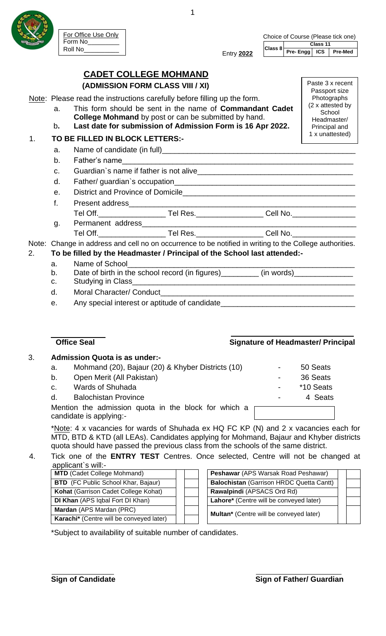

# **CADET COLLEGE MOHMAND (ADMISSION FORM CLASS VIII / XI)**

Note: Please read the instructions carefully before filling up the form.

- a. This form should be sent in the name of **Commandant Cadet College Mohmand** by post or can be submitted by hand.
- b**. Last date for submission of Admission Form is 16 Apr 2022.**

## 1. **TO BE FILLED IN BLOCK LETTERS:-**

- a. Name of candidate (in full)
- b. Father's name

For Office Use Only

Form No\_\_\_\_\_\_\_\_\_ Roll No\_\_\_\_\_\_\_\_\_\_

- c. Guardian`s name if father is not alive
- d. Father/ quardian's occupation
- e. District and Province of Domicile\_
- f. Present address
	- Tel Off.\_\_\_\_\_\_\_\_\_\_\_\_\_\_\_\_ Tel Res.\_\_\_\_\_\_\_\_\_\_\_\_\_\_\_\_ Cell No.\_\_\_\_\_\_\_\_\_\_\_\_\_\_\_
- g. Permanent address\_ Tel Off.\_\_\_\_\_\_\_\_\_\_\_\_\_\_\_\_ Tel Res.\_\_\_\_\_\_\_\_\_\_\_\_\_\_\_\_ Cell No.\_\_\_\_\_\_\_\_\_\_\_\_\_\_\_

Note: Change in address and cell no on occurrence to be notified in writing to the College authorities.

- 2. **To be filled by the Headmaster / Principal of the School last attended:**
	- a. Name of School
	- b. Date of birth in the school record (in figures)\_\_\_\_\_\_\_\_\_\_ (in words)\_
	- c. Studying in Class\_\_\_\_\_\_\_\_\_\_\_\_\_\_\_\_\_\_\_\_\_\_\_\_\_\_\_\_\_\_\_\_\_\_\_\_\_\_\_\_\_\_\_\_\_\_\_\_\_\_\_\_\_
	- d. Moral Character/ Conduct
	- e. Any special interest or aptitude of candidate

## **Office Seal Contract Contract Contract Contract Contract Contract Contract Contract Contract Contract Contract Contract Contract Contract Contract Contract Contract Contract Contract Contract Contract Contract Contract Co**

# 3. **Admission Quota is as under:-**

a. Mohmand (20), Bajaur (20) & Khyber Districts (10) - 50 Seats b. Open Merit (All Pakistan) **b.** 36 Seats c. Wards of Shuhada  $\sim$  \*10 Seats d. Balochistan Province **- 12 Seats** 1 - 4 Seats Mention the admission quota in the block for which a candidate is applying:-

\*Note: 4 x vacancies for wards of Shuhada ex HQ FC KP (N) and 2 x vacancies each for MTD, BTD & KTD (all LEAs). Candidates applying for Mohmand, Bajaur and Khyber districts quota should have passed the previous class from the schools of the same district.

#### 4. Tick one of the **ENTRY TEST** Centres. Once selected, Centre will not be changed at applicant`s will:-

| $\alpha \beta \beta \gamma \gamma$         |  |                                                 |  |
|--------------------------------------------|--|-------------------------------------------------|--|
| <b>MTD</b> (Cadet College Mohmand)         |  | Peshawar (APS Warsak Road Peshawar)             |  |
| <b>BTD</b> (FC Public School Khar, Bajaur) |  | <b>Balochistan (Garrison HRDC Quetta Cantt)</b> |  |
| Kohat (Garrison Cadet College Kohat)       |  | Rawalpindi (APSACS Ord Rd)                      |  |
| DI Khan (APS Iqbal Fort DI Khan)           |  | Lahore* (Centre will be conveyed later)         |  |
| Mardan (APS Mardan (PRC)                   |  |                                                 |  |
| Karachi* (Centre will be conveyed later)   |  |                                                 |  |
|                                            |  | Multan* (Centre will be conveyed later)         |  |

| Peshawar (APS Warsak Road Peshawar)             |  |  |
|-------------------------------------------------|--|--|
| <b>Balochistan (Garrison HRDC Quetta Cantt)</b> |  |  |
| Rawalpindi (APSACS Ord Rd)                      |  |  |
| Lahore* (Centre will be conveyed later)         |  |  |
| <b>Multan*</b> (Centre will be conveyed later)  |  |  |

\*Subject to availability of suitable number of candidates.



Paste 3 x recent Passport size **Photographs** (2 x attested by **School** Headmaster/ Principal and 1 x unattested)

Entry **2022**